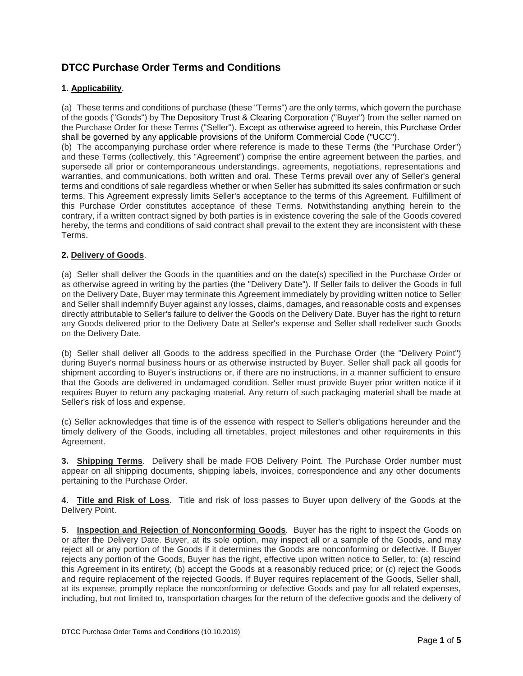## **DTCC Purchase Order Terms and Conditions**

## **1. Applicability**.

(a) These terms and conditions of purchase (these "Terms") are the only terms, which govern the purchase of the goods ("Goods") by The Depository Trust & Clearing Corporation ("Buyer") from the seller named on the Purchase Order for these Terms ("Seller"). Except as otherwise agreed to herein, this Purchase Order shall be governed by any applicable provisions of the Uniform Commercial Code ("UCC").

(b) The accompanying purchase order where reference is made to these Terms (the "Purchase Order") and these Terms (collectively, this "Agreement") comprise the entire agreement between the parties, and supersede all prior or contemporaneous understandings, agreements, negotiations, representations and warranties, and communications, both written and oral. These Terms prevail over any of Seller's general terms and conditions of sale regardless whether or when Seller has submitted its sales confirmation or such terms. This Agreement expressly limits Seller's acceptance to the terms of this Agreement. Fulfillment of this Purchase Order constitutes acceptance of these Terms. Notwithstanding anything herein to the contrary, if a written contract signed by both parties is in existence covering the sale of the Goods covered hereby, the terms and conditions of said contract shall prevail to the extent they are inconsistent with these Terms.

## **2. Delivery of Goods**.

(a) Seller shall deliver the Goods in the quantities and on the date(s) specified in the Purchase Order or as otherwise agreed in writing by the parties (the "Delivery Date"). If Seller fails to deliver the Goods in full on the Delivery Date, Buyer may terminate this Agreement immediately by providing written notice to Seller and Seller shall indemnify Buyer against any losses, claims, damages, and reasonable costs and expenses directly attributable to Seller's failure to deliver the Goods on the Delivery Date. Buyer has the right to return any Goods delivered prior to the Delivery Date at Seller's expense and Seller shall redeliver such Goods on the Delivery Date.

(b) Seller shall deliver all Goods to the address specified in the Purchase Order (the "Delivery Point") during Buyer's normal business hours or as otherwise instructed by Buyer. Seller shall pack all goods for shipment according to Buyer's instructions or, if there are no instructions, in a manner sufficient to ensure that the Goods are delivered in undamaged condition. Seller must provide Buyer prior written notice if it requires Buyer to return any packaging material. Any return of such packaging material shall be made at Seller's risk of loss and expense.

(c) Seller acknowledges that time is of the essence with respect to Seller's obligations hereunder and the timely delivery of the Goods, including all timetables, project milestones and other requirements in this Agreement.

**3. Shipping Terms**. Delivery shall be made FOB Delivery Point. The Purchase Order number must appear on all shipping documents, shipping labels, invoices, correspondence and any other documents pertaining to the Purchase Order.

**4**. **Title and Risk of Loss**. Title and risk of loss passes to Buyer upon delivery of the Goods at the Delivery Point.

**5**. **Inspection and Rejection of Nonconforming Goods**. Buyer has the right to inspect the Goods on or after the Delivery Date. Buyer, at its sole option, may inspect all or a sample of the Goods, and may reject all or any portion of the Goods if it determines the Goods are nonconforming or defective. If Buyer rejects any portion of the Goods, Buyer has the right, effective upon written notice to Seller, to: (a) rescind this Agreement in its entirety; (b) accept the Goods at a reasonably reduced price; or (c) reject the Goods and require replacement of the rejected Goods. If Buyer requires replacement of the Goods, Seller shall, at its expense, promptly replace the nonconforming or defective Goods and pay for all related expenses, including, but not limited to, transportation charges for the return of the defective goods and the delivery of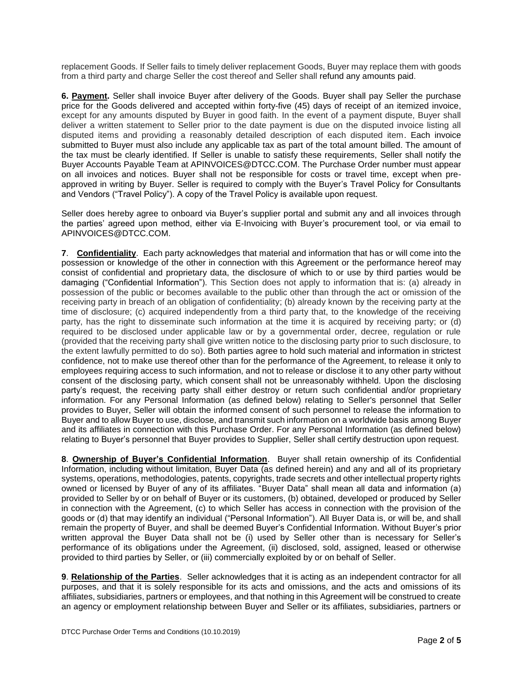replacement Goods. If Seller fails to timely deliver replacement Goods, Buyer may replace them with goods from a third party and charge Seller the cost thereof and Seller shall refund any amounts paid.

**6. Payment.** Seller shall invoice Buyer after delivery of the Goods. Buyer shall pay Seller the purchase price for the Goods delivered and accepted within forty-five (45) days of receipt of an itemized invoice, except for any amounts disputed by Buyer in good faith. In the event of a payment dispute, Buyer shall deliver a written statement to Seller prior to the date payment is due on the disputed invoice listing all disputed items and providing a reasonably detailed description of each disputed item. Each invoice submitted to Buyer must also include any applicable tax as part of the total amount billed. The amount of the tax must be clearly identified. If Seller is unable to satisfy these requirements, Seller shall notify the Buyer Accounts Payable Team at APINVOICES@DTCC.COM. The Purchase Order number must appear on all invoices and notices. Buyer shall not be responsible for costs or travel time, except when preapproved in writing by Buyer. Seller is required to comply with the Buyer's Travel Policy for Consultants and Vendors ("Travel Policy"). A copy of the Travel Policy is available upon request.

Seller does hereby agree to onboard via Buyer's supplier portal and submit any and all invoices through the parties' agreed upon method, either via E-Invoicing with Buyer's procurement tool, or via email to APINVOICES@DTCC.COM.

**7**. **Confidentiality**. Each party acknowledges that material and information that has or will come into the possession or knowledge of the other in connection with this Agreement or the performance hereof may consist of confidential and proprietary data, the disclosure of which to or use by third parties would be damaging ("Confidential Information"). This Section does not apply to information that is: (a) already in possession of the public or becomes available to the public other than through the act or omission of the receiving party in breach of an obligation of confidentiality; (b) already known by the receiving party at the time of disclosure; (c) acquired independently from a third party that, to the knowledge of the receiving party, has the right to disseminate such information at the time it is acquired by receiving party; or (d) required to be disclosed under applicable law or by a governmental order, decree, regulation or rule (provided that the receiving party shall give written notice to the disclosing party prior to such disclosure, to the extent lawfully permitted to do so). Both parties agree to hold such material and information in strictest confidence, not to make use thereof other than for the performance of the Agreement, to release it only to employees requiring access to such information, and not to release or disclose it to any other party without consent of the disclosing party, which consent shall not be unreasonably withheld. Upon the disclosing party's request, the receiving party shall either destroy or return such confidential and/or proprietary information. For any Personal Information (as defined below) relating to Seller's personnel that Seller provides to Buyer, Seller will obtain the informed consent of such personnel to release the information to Buyer and to allow Buyer to use, disclose, and transmit such information on a worldwide basis among Buyer and its affiliates in connection with this Purchase Order. For any Personal Information (as defined below) relating to Buyer's personnel that Buyer provides to Supplier, Seller shall certify destruction upon request.

**8**. **Ownership of Buyer's Confidential Information**. Buyer shall retain ownership of its Confidential Information, including without limitation, Buyer Data (as defined herein) and any and all of its proprietary systems, operations, methodologies, patents, copyrights, trade secrets and other intellectual property rights owned or licensed by Buyer of any of its affiliates. "Buyer Data" shall mean all data and information (a) provided to Seller by or on behalf of Buyer or its customers, (b) obtained, developed or produced by Seller in connection with the Agreement, (c) to which Seller has access in connection with the provision of the goods or (d) that may identify an individual ("Personal Information"). All Buyer Data is, or will be, and shall remain the property of Buyer, and shall be deemed Buyer's Confidential Information. Without Buyer's prior written approval the Buyer Data shall not be (i) used by Seller other than is necessary for Seller's performance of its obligations under the Agreement, (ii) disclosed, sold, assigned, leased or otherwise provided to third parties by Seller, or (iii) commercially exploited by or on behalf of Seller.

**9**. **Relationship of the Parties**. Seller acknowledges that it is acting as an independent contractor for all purposes, and that it is solely responsible for its acts and omissions, and the acts and omissions of its affiliates, subsidiaries, partners or employees, and that nothing in this Agreement will be construed to create an agency or employment relationship between Buyer and Seller or its affiliates, subsidiaries, partners or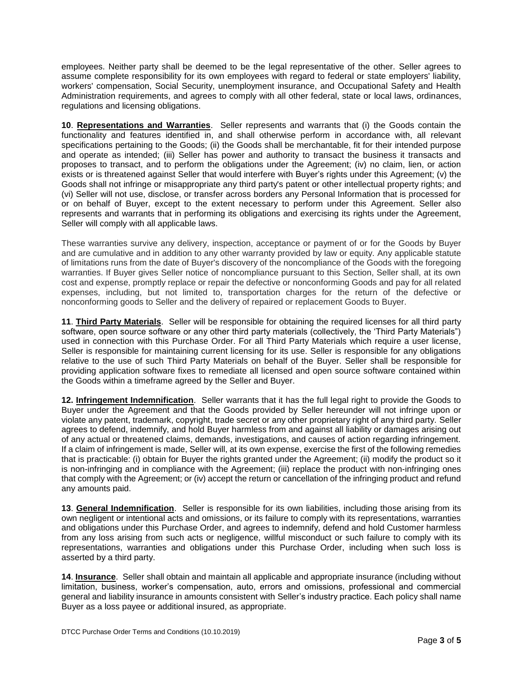employees. Neither party shall be deemed to be the legal representative of the other. Seller agrees to assume complete responsibility for its own employees with regard to federal or state employers' liability, workers' compensation, Social Security, unemployment insurance, and Occupational Safety and Health Administration requirements, and agrees to comply with all other federal, state or local laws, ordinances, regulations and licensing obligations.

**10**. **Representations and Warranties**. Seller represents and warrants that (i) the Goods contain the functionality and features identified in, and shall otherwise perform in accordance with, all relevant specifications pertaining to the Goods; (ii) the Goods shall be merchantable, fit for their intended purpose and operate as intended; (iii) Seller has power and authority to transact the business it transacts and proposes to transact, and to perform the obligations under the Agreement; (iv) no claim, lien, or action exists or is threatened against Seller that would interfere with Buyer's rights under this Agreement; (v) the Goods shall not infringe or misappropriate any third party's patent or other intellectual property rights; and (vi) Seller will not use, disclose, or transfer across borders any Personal Information that is processed for or on behalf of Buyer, except to the extent necessary to perform under this Agreement. Seller also represents and warrants that in performing its obligations and exercising its rights under the Agreement, Seller will comply with all applicable laws.

These warranties survive any delivery, inspection, acceptance or payment of or for the Goods by Buyer and are cumulative and in addition to any other warranty provided by law or equity. Any applicable statute of limitations runs from the date of Buyer's discovery of the noncompliance of the Goods with the foregoing warranties. If Buyer gives Seller notice of noncompliance pursuant to this Section, Seller shall, at its own cost and expense, promptly replace or repair the defective or nonconforming Goods and pay for all related expenses, including, but not limited to, transportation charges for the return of the defective or nonconforming goods to Seller and the delivery of repaired or replacement Goods to Buyer.

**11**. **Third Party Materials**. Seller will be responsible for obtaining the required licenses for all third party software, open source software or any other third party materials (collectively, the 'Third Party Materials") used in connection with this Purchase Order. For all Third Party Materials which require a user license, Seller is responsible for maintaining current licensing for its use. Seller is responsible for any obligations relative to the use of such Third Party Materials on behalf of the Buyer. Seller shall be responsible for providing application software fixes to remediate all licensed and open source software contained within the Goods within a timeframe agreed by the Seller and Buyer.

**12. Infringement Indemnification**. Seller warrants that it has the full legal right to provide the Goods to Buyer under the Agreement and that the Goods provided by Seller hereunder will not infringe upon or violate any patent, trademark, copyright, trade secret or any other proprietary right of any third party. Seller agrees to defend, indemnify, and hold Buyer harmless from and against all liability or damages arising out of any actual or threatened claims, demands, investigations, and causes of action regarding infringement. If a claim of infringement is made, Seller will, at its own expense, exercise the first of the following remedies that is practicable: (i) obtain for Buyer the rights granted under the Agreement; (ii) modify the product so it is non-infringing and in compliance with the Agreement; (iii) replace the product with non-infringing ones that comply with the Agreement; or (iv) accept the return or cancellation of the infringing product and refund any amounts paid.

**13**. **General Indemnification**. Seller is responsible for its own liabilities, including those arising from its own negligent or intentional acts and omissions, or its failure to comply with its representations, warranties and obligations under this Purchase Order, and agrees to indemnify, defend and hold Customer harmless from any loss arising from such acts or negligence, willful misconduct or such failure to comply with its representations, warranties and obligations under this Purchase Order, including when such loss is asserted by a third party.

**14**. **Insurance**. Seller shall obtain and maintain all applicable and appropriate insurance (including without limitation, business, worker's compensation, auto, errors and omissions, professional and commercial general and liability insurance in amounts consistent with Seller's industry practice. Each policy shall name Buyer as a loss payee or additional insured, as appropriate.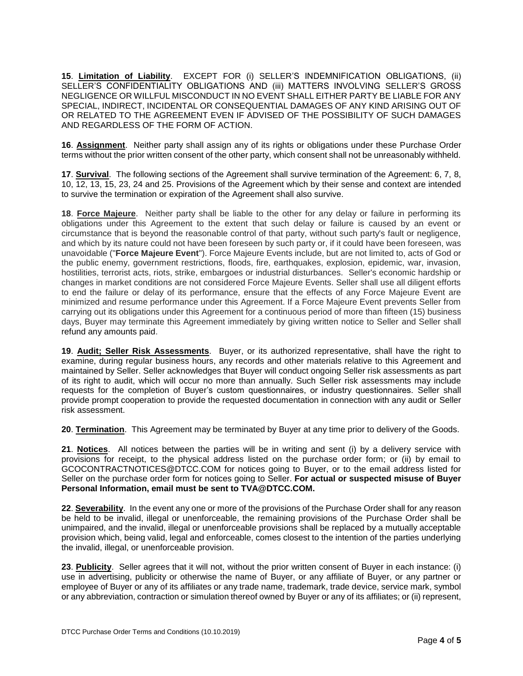**15**. **Limitation of Liability**. EXCEPT FOR (i) SELLER'S INDEMNIFICATION OBLIGATIONS, (ii) SELLER'S CONFIDENTIALITY OBLIGATIONS AND (iii) MATTERS INVOLVING SELLER'S GROSS NEGLIGENCE OR WILLFUL MISCONDUCT IN NO EVENT SHALL EITHER PARTY BE LIABLE FOR ANY SPECIAL, INDIRECT, INCIDENTAL OR CONSEQUENTIAL DAMAGES OF ANY KIND ARISING OUT OF OR RELATED TO THE AGREEMENT EVEN IF ADVISED OF THE POSSIBILITY OF SUCH DAMAGES AND REGARDLESS OF THE FORM OF ACTION.

**16**. **Assignment**. Neither party shall assign any of its rights or obligations under these Purchase Order terms without the prior written consent of the other party, which consent shall not be unreasonably withheld.

**17**. **Survival**. The following sections of the Agreement shall survive termination of the Agreement: 6, 7, 8, 10, 12, 13, 15, 23, 24 and 25. Provisions of the Agreement which by their sense and context are intended to survive the termination or expiration of the Agreement shall also survive.

**18**. **Force Majeure**. Neither party shall be liable to the other for any delay or failure in performing its obligations under this Agreement to the extent that such delay or failure is caused by an event or circumstance that is beyond the reasonable control of that party, without such party's fault or negligence, and which by its nature could not have been foreseen by such party or, if it could have been foreseen, was unavoidable ("**Force Majeure Event**"). Force Majeure Events include, but are not limited to, acts of God or the public enemy, government restrictions, floods, fire, earthquakes, explosion, epidemic, war, invasion, hostilities, terrorist acts, riots, strike, embargoes or industrial disturbances. Seller's economic hardship or changes in market conditions are not considered Force Majeure Events. Seller shall use all diligent efforts to end the failure or delay of its performance, ensure that the effects of any Force Majeure Event are minimized and resume performance under this Agreement. If a Force Majeure Event prevents Seller from carrying out its obligations under this Agreement for a continuous period of more than fifteen (15) business days, Buyer may terminate this Agreement immediately by giving written notice to Seller and Seller shall refund any amounts paid.

**19**. **Audit; Seller Risk Assessments**. Buyer, or its authorized representative, shall have the right to examine, during regular business hours, any records and other materials relative to this Agreement and maintained by Seller. Seller acknowledges that Buyer will conduct ongoing Seller risk assessments as part of its right to audit, which will occur no more than annually. Such Seller risk assessments may include requests for the completion of Buyer's custom questionnaires, or industry questionnaires. Seller shall provide prompt cooperation to provide the requested documentation in connection with any audit or Seller risk assessment.

**20**. **Termination**. This Agreement may be terminated by Buyer at any time prior to delivery of the Goods.

**21**. **Notices**. All notices between the parties will be in writing and sent (i) by a delivery service with provisions for receipt, to the physical address listed on the purchase order form; or (ii) by email to GCOCONTRACTNOTICES@DTCC.COM for notices going to Buyer, or to the email address listed for Seller on the purchase order form for notices going to Seller. **For actual or suspected misuse of Buyer Personal Information, email must be sent to TVA@DTCC.COM.** 

**22**. **Severability**. In the event any one or more of the provisions of the Purchase Order shall for any reason be held to be invalid, illegal or unenforceable, the remaining provisions of the Purchase Order shall be unimpaired, and the invalid, illegal or unenforceable provisions shall be replaced by a mutually acceptable provision which, being valid, legal and enforceable, comes closest to the intention of the parties underlying the invalid, illegal, or unenforceable provision.

**23**. **Publicity**. Seller agrees that it will not, without the prior written consent of Buyer in each instance: (i) use in advertising, publicity or otherwise the name of Buyer, or any affiliate of Buyer, or any partner or employee of Buyer or any of its affiliates or any trade name, trademark, trade device, service mark, symbol or any abbreviation, contraction or simulation thereof owned by Buyer or any of its affiliates; or (ii) represent,